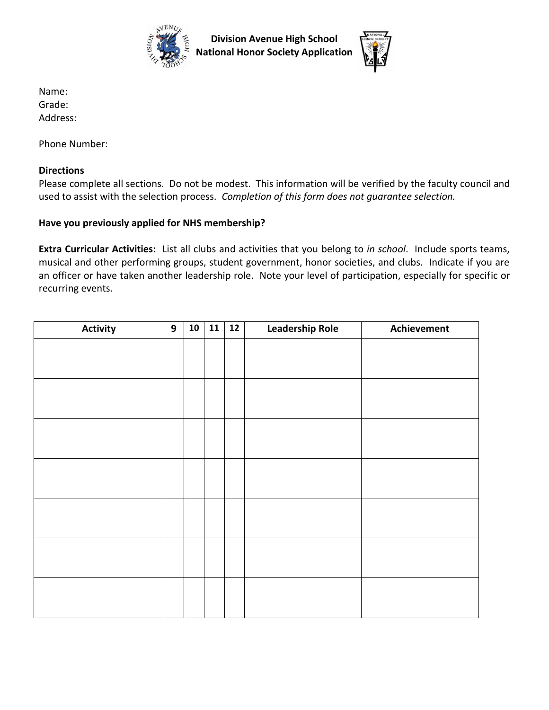

**Division Avenue High School National Honor Society Application** 



Name: Grade: Address:

Phone Number:

## **Directions**

Please complete all sections. Do not be modest. This information will be verified by the faculty council and used to assist with the selection process. *Completion of this form does not guarantee selection.*

## **Have you previously applied for NHS membership?**

**Extra Curricular Activities:** List all clubs and activities that you belong to *in school*. Include sports teams, musical and other performing groups, student government, honor societies, and clubs. Indicate if you are an officer or have taken another leadership role. Note your level of participation, especially for specific or recurring events.

| <b>Activity</b> | 9 | 10 | 11 | $12$ | <b>Leadership Role</b> | Achievement |
|-----------------|---|----|----|------|------------------------|-------------|
|                 |   |    |    |      |                        |             |
|                 |   |    |    |      |                        |             |
|                 |   |    |    |      |                        |             |
|                 |   |    |    |      |                        |             |
|                 |   |    |    |      |                        |             |
|                 |   |    |    |      |                        |             |
|                 |   |    |    |      |                        |             |
|                 |   |    |    |      |                        |             |
|                 |   |    |    |      |                        |             |
|                 |   |    |    |      |                        |             |
|                 |   |    |    |      |                        |             |
|                 |   |    |    |      |                        |             |
|                 |   |    |    |      |                        |             |
|                 |   |    |    |      |                        |             |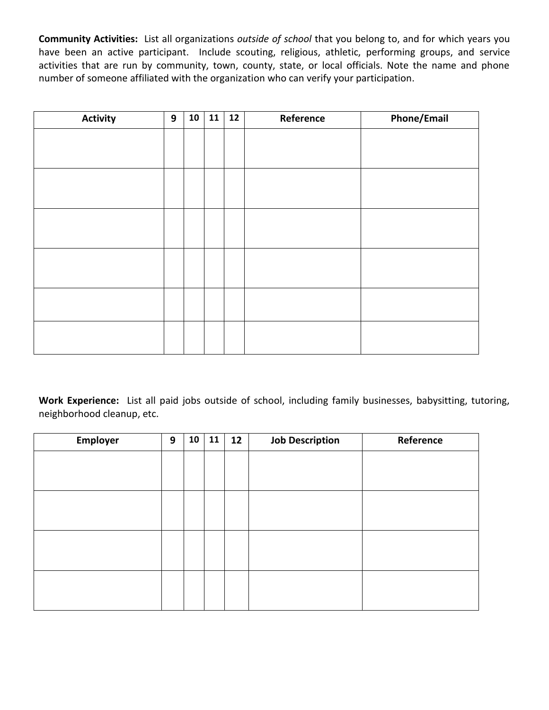**Community Activities:** List all organizations *outside of school* that you belong to, and for which years you have been an active participant. Include scouting, religious, athletic, performing groups, and service activities that are run by community, town, county, state, or local officials. Note the name and phone number of someone affiliated with the organization who can verify your participation.

| <b>Activity</b> | 9 | 10 <sup>1</sup> | 11 | 12 | Reference | <b>Phone/Email</b> |
|-----------------|---|-----------------|----|----|-----------|--------------------|
|                 |   |                 |    |    |           |                    |
|                 |   |                 |    |    |           |                    |
|                 |   |                 |    |    |           |                    |
|                 |   |                 |    |    |           |                    |
|                 |   |                 |    |    |           |                    |
|                 |   |                 |    |    |           |                    |
|                 |   |                 |    |    |           |                    |
|                 |   |                 |    |    |           |                    |
|                 |   |                 |    |    |           |                    |
|                 |   |                 |    |    |           |                    |
|                 |   |                 |    |    |           |                    |
|                 |   |                 |    |    |           |                    |

**Work Experience:** List all paid jobs outside of school, including family businesses, babysitting, tutoring, neighborhood cleanup, etc.

| Employer | 9 | 10 | 11 | 12 | <b>Job Description</b> | Reference |
|----------|---|----|----|----|------------------------|-----------|
|          |   |    |    |    |                        |           |
|          |   |    |    |    |                        |           |
|          |   |    |    |    |                        |           |
|          |   |    |    |    |                        |           |
|          |   |    |    |    |                        |           |
|          |   |    |    |    |                        |           |
|          |   |    |    |    |                        |           |
|          |   |    |    |    |                        |           |